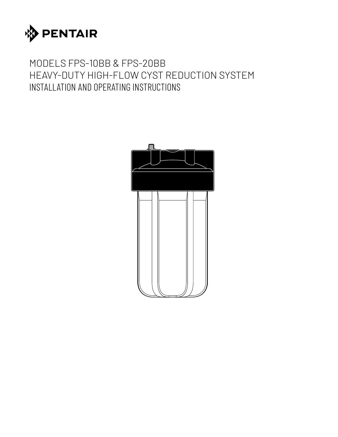

# MODELS FPS-10BB & FPS-20BB HEAVY-DUTY HIGH-FLOW CYST REDUCTION SYSTEM INSTALLATION AND OPERATING INSTRUCTIONS

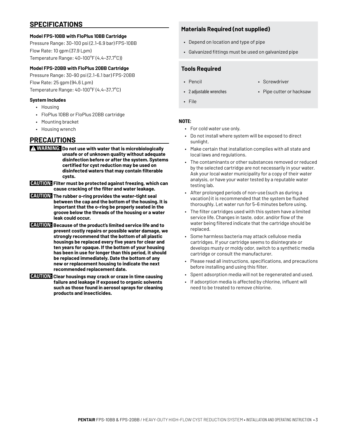### **SPECIFICATIONS**

#### **Model FPS-10BB with FloPlus 10BB Cartridge**

Pressure Range: 30–100 psi (2.1–6.9 bar) FPS-10BB Flow Rate: 10 gpm (37.9 Lpm) Temperature Range: 40–100°F (4.4–37.7°C))

#### **Model FPS-20BB with FloPlus 20BB Cartridge**

Pressure Range: 30–90 psi (2.1–6.1 bar) FPS-20BB Flow Rate: 25 gpm (94.6 Lpm) Temperature Range: 40–100°F (4.4–37.7°C)

#### **System Includes**

- Housing
- FloPlus 10BB or FloPlus 20BB cartridge
- Mounting bracket
- Housing wrench

### **PRECAUTIONS**

- **WARNING: Do not use with water that is microbiologically unsafe or of unknown quality without adequate disinfection before or after the system. Systems certified for cyst reduction may be used on disinfected waters that may contain filterable cysts.**
- **CAUTION: Filter must be protected against freezing, which can cause cracking of the filter and water leakage.**
- **CAUTION: The rubber o-ring provides the water-tight seal between the cap and the bottom of the housing. It is important that the o-ring be properly seated in the groove below the threads of the housing or a water leak could occur.**
- **CAUTION: Because of the product's limited service life and to prevent costly repairs or possible water damage, we strongly recommend that the bottom of all plastic housings be replaced every five years for clear and ten years for opaque. If the bottom of your housing has been in use for longer than this period, it should be replaced immediately. Date the bottom of any new or replacement housing to indicate the next recommended replacement date.**
- **CAUTION: Clear housings may crack or craze in time causing failure and leakage if exposed to organic solvents such as those found in aerosol sprays for cleaning products and insecticides.**

### **Materials Required (not supplied)**

- Depend on location and type of pipe
- Galvanized fittings must be used on galvanized pipe

#### **Tools Required**

- 
- Pencil Screwdriver
- 2 adjustable wrenches Pipe cutter or hacksaw
- File

#### **NOTE:**

- For cold water use only.
- Do not install where system will be exposed to direct sunlight.
- Make certain that installation complies with all state and local laws and regulations.
- The contaminants or other substances removed or reduced by the selected cartridge are not necessarily in your water. Ask your local water municipality for a copy of their water analysis, or have your water tested by a reputable water testing lab.
- After prolonged periods of non-use (such as during a vacation) it is recommended that the system be flushed thoroughly. Let water run for 5–6 minutes before using.
- The filter cartridges used with this system have a limited service life. Changes in taste, odor, and/or flow of the water being filtered indicate that the cartridge should be replaced.
- Some harmless bacteria may attack cellulose media cartridges. If your cartridge seems to disintegrate or develops musty or moldy odor, switch to a synthetic media cartridge or consult the manufacturer.
- Please read all instructions, specifications, and precautions before installing and using this filter.
- Spent adsorption media will not be regenerated and used.
- If adsorption media is affected by chlorine, influent will need to be treated to remove chlorine.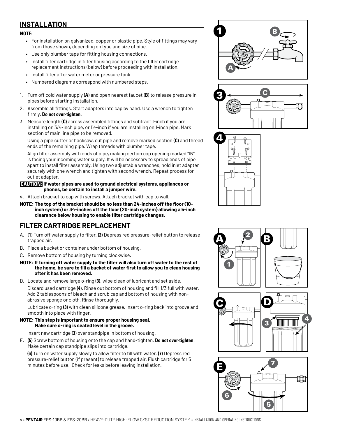# **INSTALLATION**

#### **NOTE:**

- For installation on galvanized, copper or plastic pipe. Style of fittings may vary from those shown, depending on type and size of pipe.
- Use only plumber tape for fitting housing connections.
- Install filter cartridge in filter housing according to the filter cartridge replacement instructions (below) before proceeding with installation.
- Install filter after water meter or pressure tank.
- Numbered diagrams correspond with numbered steps.
- 1. Turn off cold water supply **(A)** and open nearest faucet **(B)** to release pressure in pipes before starting installation.
- 2. Assemble all fittings. Start adapters into cap by hand. Use a wrench to tighten firmly. **Do not over-tighten**.
- 3. Measure length **(C)** across assembled fittings and subtract 1-inch if you are installing on 3/4-inch pipe, or 1½-inch if you are installing on 1-inch pipe. Mark section of main line pipe to be removed.

Using a pipe cutter or hacksaw, cut pipe and remove marked section **(C)** and thread ends of the remaining pipe. Wrap threads with plumber tape.

Align filter assembly with ends of pipe, making certain cap opening marked "IN" is facing your incoming water supply. It will be necessary to spread ends of pipe apart to install filter assembly. Using two adjustable wrenches, hold inlet adapter securely with one wrench and tighten with second wrench. Repeat process for outlet adapter.

#### **CAUTION: If water pipes are used to ground electrical systems, appliances or phones, be certain to install a jumper wire.**

- 4. Attach bracket to cap with screws. Attach bracket with cap to wall.
- **NOTE: The top of the bracket should be no less than 24-inches off the floor (10 inch system) or 34-inches off the floor (20-inch system) allowing a 5-inch clearance below housing to enable filter cartridge changes.**

# **FILTER CARTRIDGE REPLACEMENT**

- A. **(1)** Turn off water supply to filter. **(2)** Depress red pressure-relief button to release trapped air.
- B. Place a bucket or container under bottom of housing.
- C. Remove bottom of housing by turning clockwise.
- **NOTE: If turning off water supply to the filter will also turn off water to the rest of the home, be sure to fill a bucket of water first to allow you to clean housing after it has been removed.**
- D. Locate and remove large o-ring **(3)**, wipe clean of lubricant and set aside.

Discard used cartridge **(4)**. Rinse out bottom of housing and fill 1/3 full with water. Add 2 tablespoons of bleach and scrub cap and bottom of housing with nonabrasive sponge or cloth. Rinse thoroughly.

Lubricate o-ring **(3)** with clean silicone grease. Insert o-ring back into groove and smooth into place with finger.

#### **NOTE: This step is important to ensure proper housing seal. Make sure o-ring is seated level in the groove.**

Insert new cartridge **(3)** over standpipe in bottom of housing.

E. **(5)** Screw bottom of housing onto the cap and hand-tighten. **Do not over-tighten**. Make certain cap standpipe slips into cartridge.

**(6)** Turn on water supply slowly to allow filter to fill with water. **(7)** Depress red pressure-relief button (if present) to release trapped air. Flush cartridge for 5 minutes before use. Check for leaks before leaving installation.







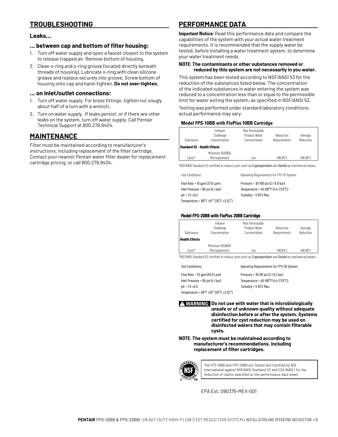## **TROUBLESHOOTING**

#### **Leaks…**

#### **… between cap and bottom of filter housing:**

- 1. Turn off water supply and open a faucet closest to the system to release trapped air. Remove bottom of housing.
- 2. Clean o-ring and o-ring groove (located directly beneath threads of housing). Lubricate o-ring with clean silicone grease and replace securely into groove. Screw bottom of housing onto cap and hand-tighten. **Do not over-tighten.**

#### **… on inlet/outlet connections:**

- 1. Turn off water supply. For brass fittings, tighten nut snugly about half of a turn with a wrench.
- 2. Turn on water supply. If leaks persist, or if there are other leaks on the system, turn off water supply. Call Pentair Technical Support at 800.279.9404.

### **MAINTENANCE**

Filter must be maintained according to manufacturer's instructions, including replacement of the filter cartridge. Contact your nearest Pentair water filter dealer for replacement cartridge pricing, or call 800.279.9404.

### **PERFORMANCE DATA**

**Important Notice:** Read this performance data and compare the capabilities of the system with your actual water treatment requirements. It is recommended that the supply water be tested, before installing a water treatment system, to determine your water treatment needs.

#### **NOTE: The contaminants or other substances removed or reduced by this system are not necessarily in you water.**

This system has been tested according to NSF/ANSI 53 for the reduction of the substances listed below. The concentration of the indicated substances in water entering the system was reduced to a concentration less than or equal to the permissible limit for water exiting the system, as specified in NSF/ANSI 53.

Testing was performed under standard laboratory conditions; actual performance may vary.

#### **Model FPS-10BB with FloPlus 10BB Cartridge**

| Substance                           | Influent<br>Challenge<br>Concentration | Max Permissible<br><b>Product Water</b><br>Concentration | Reduction<br>Requirements | Average<br>Reduction |
|-------------------------------------|----------------------------------------|----------------------------------------------------------|---------------------------|----------------------|
| <b>Standard 53 - Health Effects</b> |                                        |                                                          |                           |                      |
| $C \vee sts^*$                      | Minimum 50,000/L<br>Microspheres/L     | n/a                                                      | $>99.95\%$                | $>99.99\%$           |

\*NSF/ANSI Standard 53 certified to reduce cysts such as *Cryptosporidium* and *Giardia* by mechanical means.

| <b>Test Conditions:</b>                                                         | Operating Requirements for FPS-10 System:                |
|---------------------------------------------------------------------------------|----------------------------------------------------------|
| Flow Rate = $10$ gpm (37.8 Lpm)                                                 | Pressure = $30-100$ psi (2.1-6.8 bar)                    |
| Inlet Pressure = $60$ psi (4.1 bar)                                             | Temperature = $40-100^{\circ}$ F (4.4-37.8 $^{\circ}$ C) |
| $pH = 7.5 \pm 0.5$                                                              | Turbidity = 5 NTU Max.                                   |
| Temperature = $68^{\circ}$ F ±5F $^{\circ}$ (20 $^{\circ}$ C ±2.5C $^{\circ}$ ) |                                                          |

#### **Model FPS-20BB with FloPlus 20BB Cartridge**

| Substance<br><b>Health Effects</b> | Influent<br>Challenge<br>Concentration | Max Permissible<br><b>Product Water</b><br>Concentration | Reduction<br>Requirements | Average<br>Reduction |
|------------------------------------|----------------------------------------|----------------------------------------------------------|---------------------------|----------------------|
| $C \vee s \circ^*$                 | Minimum 50,000/L<br>Microspheres/L     | n/a                                                      | $>99.95\%$                | $>99.99\%$           |

\*NSF/ANSI Standard 53 certified to reduce cysts such as *Cryptosporidium* and *Giardia* by mechanical means.

| <b>Test Conditions:</b>                                                         | Operating Requirements for FPS-20 System:                |
|---------------------------------------------------------------------------------|----------------------------------------------------------|
| Flow Rate = $25$ gpm (94.6 Lpm)                                                 | Pressure = $30-90$ psi (2.1-6.1 bar)                     |
| Inlet Pressure = $60$ psi (4.1 bar)                                             | Temperature = $40-100^{\circ}$ F (4.4-37.8 $^{\circ}$ C) |
| $pH = 7.5 \pm 0.5$                                                              | Turbidity = 5 NTU Max.                                   |
| Temperature = $68^{\circ}$ F ±5F $^{\circ}$ (20 $^{\circ}$ C ±2.5C $^{\circ}$ ) |                                                          |

**WARNING: Do not use with water that is microbiologically unsafe or of unknown quality without adequate disinfection before or after the system. Systems certified for cyst reduction may be used on disinfected waters that may contain filterable cysts.**

**NOTE: The system must be maintained according to manufacturer's recommendations, including replacement of filter cartridges.**



The FPS-10BB and FPS-20BB are Tested and Certified by NSF International against NSF/ANSI Standard 53 and CSA B483.1 for the reduction of claims specified on the performance data sheet.

EPA Est. 090375-MEX-001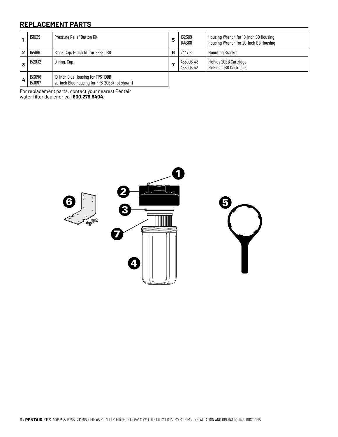## **REPLACEMENT PARTS**

| 151039           | <b>Pressure Relief Button Kit</b>                                                  | 5  | 152309<br>144368       | Housing Wrench for 10-inch BB Housing<br>Housing Wrench for 20-inch BB Housing |
|------------------|------------------------------------------------------------------------------------|----|------------------------|--------------------------------------------------------------------------------|
| 154166           | Black Cap, 1-inch I/O for FPS-10BB                                                 | 6  | 244718                 | <b>Mounting Bracket</b>                                                        |
| 152032           | 0-ring, Cap                                                                        | -7 | 455906-43<br>455905-43 | FloPlus 20BB Cartridge<br>FloPlus 10BB Cartridge                               |
| 153098<br>153097 | 10-inch Blue Housing for FPS-10BB<br>20-inch Blue Housing for FPS-20BB (not shown) |    |                        |                                                                                |

For replacement parts, contact your nearest Pentair water filter dealer or call **800.279.9404.**